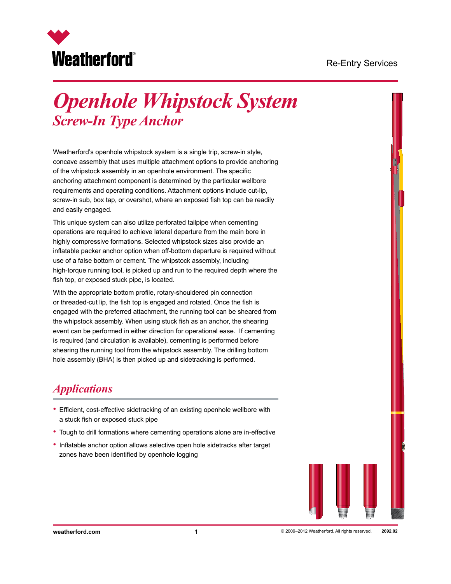

# *Openhole Whipstock System Screw-In Type Anchor*

Weatherford's openhole whipstock system is a single trip, screw-in style, concave assembly that uses multiple attachment options to provide anchoring of the whipstock assembly in an openhole environment. The specific anchoring attachment component is determined by the particular wellbore requirements and operating conditions. Attachment options include cut-lip, screw-in sub, box tap, or overshot, where an exposed fish top can be readily and easily engaged.

This unique system can also utilize perforated tailpipe when cementing operations are required to achieve lateral departure from the main bore in highly compressive formations. Selected whipstock sizes also provide an inflatable packer anchor option when off-bottom departure is required without use of a false bottom or cement. The whipstock assembly, including high-torque running tool, is picked up and run to the required depth where the fish top, or exposed stuck pipe, is located.

With the appropriate bottom profile, rotary-shouldered pin connection or threaded-cut lip, the fish top is engaged and rotated. Once the fish is engaged with the preferred attachment, the running tool can be sheared from the whipstock assembly. When using stuck fish as an anchor, the shearing event can be performed in either direction for operational ease. If cementing is required (and circulation is available), cementing is performed before shearing the running tool from the whipstock assembly. The drilling bottom hole assembly (BHA) is then picked up and sidetracking is performed.

#### *Applications*

- Efficient, cost-effective sidetracking of an existing openhole wellbore with a stuck fish or exposed stuck pipe
- Tough to drill formations where cementing operations alone are in-effective
- Inflatable anchor option allows selective open hole sidetracks after target zones have been identified by openhole logging

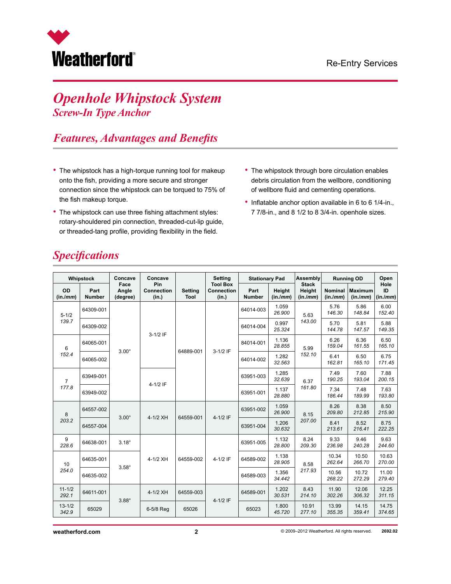

# *Openhole Whipstock System Screw-In Type Anchor*

### *Features, Advantages and Benefits*

- The whipstock has a high-torque running tool for makeup onto the fish, providing a more secure and stronger connection since the whipstock can be torqued to 75% of the fish makeup torque.
- The whipstock can use three fishing attachment styles: rotary-shouldered pin connection, threaded-cut-lip guide, or threaded-tang profile, providing flexibility in the field.
- The whipstock through bore circulation enables debris circulation from the wellbore, conditioning of wellbore fluid and cementing operations.
- Inflatable anchor option available in 6 to 6 1/4-in., 7 7/8-in., and 8 1/2 to 8 3/4-in. openhole sizes.

| Whipstock               |                       | Concave                                   | Concave           |                        | <b>Setting</b>                                | <b>Stationary Pad</b> |                    | Assembly                           | <b>Running OD</b>          |                            | Open                   |
|-------------------------|-----------------------|-------------------------------------------|-------------------|------------------------|-----------------------------------------------|-----------------------|--------------------|------------------------------------|----------------------------|----------------------------|------------------------|
| OD<br>(in./mm)          | Part<br><b>Number</b> | Pin<br>Face<br>Angle<br>(degree)<br>(in.) | <b>Connection</b> | <b>Setting</b><br>Tool | <b>Tool Box</b><br><b>Connection</b><br>(in.) | Part<br><b>Number</b> | Height<br>(in./mm) | <b>Stack</b><br>Height<br>(in.lmm) | <b>Nominal</b><br>(in./mm) | <b>Maximum</b><br>(in./mm) | Hole<br>ID<br>(in./mm) |
| $5 - 1/2$<br>139.7      | 64309-001             | $3.00^\circ$                              | $3-1/2$ IF        | 64889-001              | 3-1/2 IF                                      | 64014-003             | 1.059<br>26.900    | 5.63<br>143.00                     | 5.76<br>146.30             | 5.86<br>148.84             | 6.00<br>152.40         |
|                         | 64309-002             |                                           |                   |                        |                                               | 64014-004             | 0.997<br>25.324    |                                    | 5.70<br>144.78             | 5.81<br>147.57             | 5.88<br>149.35         |
| 6<br>152.4              | 64065-001             |                                           |                   |                        |                                               | 84014-001             | 1.136<br>28.855    | 5.99<br>152.10                     | 6.26<br>159.04             | 6.36<br>161.55             | 6.50<br>165.10         |
|                         | 64065-002             |                                           |                   |                        |                                               | 64014-002             | 1.282<br>32.563    |                                    | 6.41<br>162.81             | 6.50<br>165.10             | 6.75<br>171.45         |
| $\overline{7}$<br>177.8 | 63949-001             |                                           | 4-1/2 IF          |                        |                                               | 63951-003             | 1.285<br>32.639    | 6.37<br>161.80                     | 7.49<br>190.25             | 7.60<br>193.04             | 7.88<br>200.15         |
|                         | 63949-002             |                                           |                   |                        |                                               | 63951-001             | 1.137<br>28.880    |                                    | 7.34<br>186.44             | 7.48<br>189.99             | 7.63<br>193.80         |
| 8<br>203.2              | 64557-002             | $3.00^\circ$                              | 4-1/2 XH          | 64559-001              | $4-1/2$ IF                                    | 63951-002             | 1.059<br>26.900    | 8.15<br>207.00                     | 8.26<br>209.80             | 8.38<br>212.85             | 8.50<br>215.90         |
|                         | 64557-004             |                                           |                   |                        |                                               | 63951-004             | 1.206<br>30.632    |                                    | 8.41<br>213.61             | 8.52<br>216.41             | 8.75<br>222.25         |
| 9<br>228.6              | 64638-001             | $3.18^\circ$                              |                   |                        | 63951-005                                     | 1.132<br>28.800       | 8.24<br>209.30     | 9.33<br>236.98                     | 9.46<br>240.28             | 9.63<br>244.60             |                        |
| 10<br>254.0             | 64635-001             | $3.58^\circ$                              | 4-1/2 XH          | 64559-002              | 4-1/2 IF                                      | 64589-002             | 1.138<br>28.905    | 8.58<br>217.93                     | 10.34<br>262.64            | 10.50<br>266.70            | 10.63<br>270.00        |
|                         | 64635-002             |                                           |                   |                        |                                               | 64589-003             | 1.356<br>34.442    |                                    | 10.56<br>268.22            | 10.72<br>272.29            | 11.00<br>279.40        |
| $11 - 1/2$<br>292.1     | 64611-001             | $3.88^\circ$                              | 4-1/2 XH          | 64559-003              | $4 - 1/2$ IF                                  | 64589-001             | 1.202<br>30.531    | 8.43<br>214.10                     | 11.90<br>302.26            | 12.06<br>306.32            | 12.25<br>311.15        |
| $13 - 1/2$<br>342.9     | 65029                 |                                           | 6-5/8 Req         | 65026                  |                                               | 65023                 | 1.800<br>45.720    | 10.91<br>277.10                    | 13.99<br>355.35            | 14.15<br>359.41            | 14.75<br>374.65        |

# *Specifications*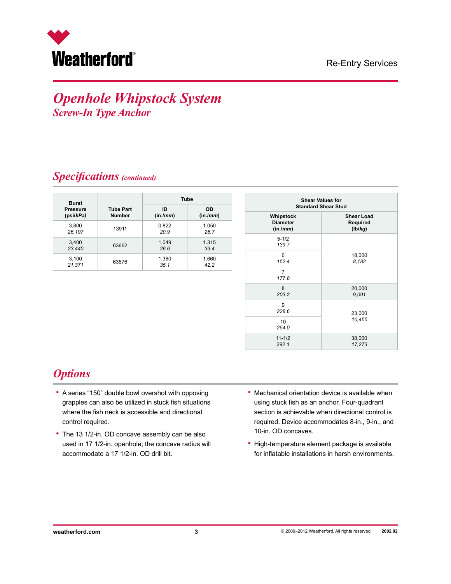

#### *Openhole Whipstock System Screw-In Type Anchor*

#### *Specifications (continued)*

| <b>Burst</b>    |                  | <b>Tube</b> |          |  |  |  |
|-----------------|------------------|-------------|----------|--|--|--|
| <b>Pressure</b> | <b>Tube Part</b> | ID          | OD       |  |  |  |
| (psi/kPa)       | <b>Number</b>    | (in./mm)    | (in./mm) |  |  |  |
| 3,800           | 13911            | 0.822       | 1.050    |  |  |  |
| 26,197          |                  | 20.9        | 26.7     |  |  |  |
| 3,400           | 63662            | 1.049       | 1.315    |  |  |  |
| 23,440          |                  | 26.6        | 33.4     |  |  |  |
| 3,100           | 63576            | 1.380       | 1.660    |  |  |  |
| 21,371          |                  | 35.1        | 42.2     |  |  |  |

| <b>Shear Values for</b><br><b>Standard Shear Stud</b> |                                          |  |  |  |  |
|-------------------------------------------------------|------------------------------------------|--|--|--|--|
| Whipstock<br><b>Diameter</b><br>(in.lmm)              | <b>Shear Load</b><br>Required<br>(Ib/kg) |  |  |  |  |
| $5 - 1/2$<br>139.7                                    |                                          |  |  |  |  |
| 6<br>152.4                                            | 18,000<br>8,182                          |  |  |  |  |
| 7<br>177.8                                            |                                          |  |  |  |  |
| 8<br>203.2                                            | 20,000<br>9.091                          |  |  |  |  |
| 9<br>228.6                                            | 23,000                                   |  |  |  |  |
| 10 <sup>1</sup><br>254.0                              | 10,455                                   |  |  |  |  |
| $11 - 1/2$<br>292.1                                   | 38,000<br>17,273                         |  |  |  |  |

#### *Options*

- A series "150" double bowl overshot with opposing grapples can also be utilized in stuck fish situations where the fish neck is accessible and directional control required.
- The 13 1/2-in. OD concave assembly can be also used in 17 1/2-in. openhole; the concave radius will accommodate a 17 1/2-in. OD drill bit.
- Mechanical orientation device is available when using stuck fish as an anchor. Four-quadrant section is achievable when directional control is required. Device accommodates 8-in., 9-in., and 10-in. OD concaves.
- High-temperature element package is available for inflatable installations in harsh environments.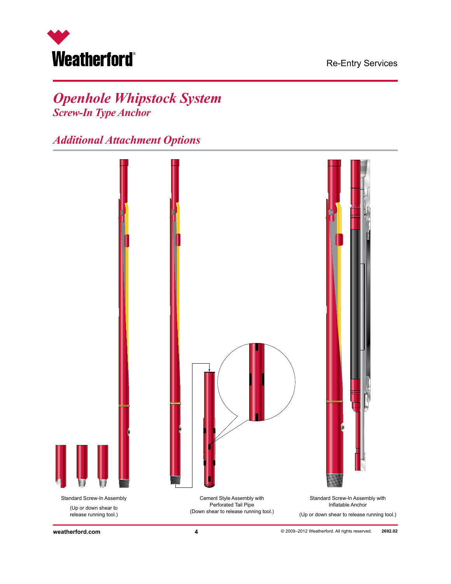

# *Openhole Whipstock System Screw-In Type Anchor*

*Additional Attachment Options*